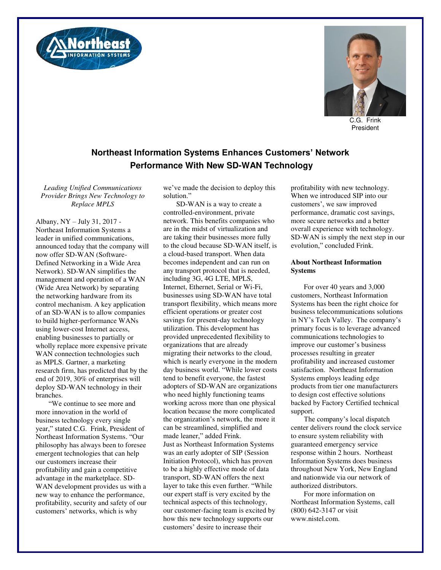



C.G. Frink President

## **Northeast Information Systems Enhances Customers' Network Performance With New SD-WAN Technology**

*Leading Unified Communications Provider Brings New Technology to Replace MPLS* 

Albany, NY – July 31, 2017 - Northeast Information Systems a leader in unified communications, announced today that the company will now offer SD-WAN (Software-Defined Networking in a Wide Area Network). SD-WAN simplifies the management and operation of a WAN (Wide Area Network) by separating the networking hardware from its control mechanism. A key application of an SD-WAN is to allow companies to build higher-performance WANs using lower-cost Internet access, enabling businesses to partially or wholly replace more expensive private WAN connection technologies such as MPLS. Gartner, a marketing research firm, has predicted that by the end of 2019, 30% of enterprises will deploy SD-WAN technology in their branches.

"We continue to see more and more innovation in the world of business technology every single year," stated C.G. Frink, President of Northeast Information Systems. "Our philosophy has always been to foresee emergent technologies that can help our customers increase their profitability and gain a competitive advantage in the marketplace. SD-WAN development provides us with a new way to enhance the performance, profitability, security and safety of our customers' networks, which is why

we've made the decision to deploy this solution."

SD-WAN is a way to create a controlled-environment, private network. This benefits companies who are in the midst of virtualization and are taking their businesses more fully to the cloud because SD-WAN itself, is a cloud-based transport. When data becomes independent and can run on any transport protocol that is needed, including 3G, 4G LTE, MPLS, Internet, Ethernet, Serial or Wi-Fi, businesses using SD-WAN have total transport flexibility, which means more efficient operations or greater cost savings for present-day technology utilization. This development has provided unprecedented flexibility to organizations that are already migrating their networks to the cloud, which is nearly everyone in the modern day business world. "While lower costs tend to benefit everyone, the fastest adopters of SD-WAN are organizations who need highly functioning teams working across more than one physical location because the more complicated the organization's network, the more it can be streamlined, simplified and made leaner," added Frink. Just as Northeast Information Systems was an early adopter of SIP (Session Initiation Protocol), which has proven to be a highly effective mode of data transport, SD-WAN offers the next layer to take this even further. "While our expert staff is very excited by the technical aspects of this technology, our customer-facing team is excited by how this new technology supports our customers' desire to increase their

profitability with new technology. When we introduced SIP into our customers', we saw improved performance, dramatic cost savings, more secure networks and a better overall experience with technology. SD-WAN is simply the next step in our evolution," concluded Frink.

## **About Northeast Information Systems**

For over 40 years and 3,000 customers, Northeast Information Systems has been the right choice for business telecommunications solutions in NY's Tech Valley. The company's primary focus is to leverage advanced communications technologies to improve our customer's business processes resulting in greater profitability and increased customer satisfaction. Northeast Information Systems employs leading edge products from tier one manufacturers to design cost effective solutions backed by Factory Certified technical support.

The company's local dispatch center delivers round the clock service to ensure system reliability with guaranteed emergency service response within 2 hours. Northeast Information Systems does business throughout New York, New England and nationwide via our network of authorized distributors.

For more information on Northeast Information Systems, call (800) 642-3147 or visit www.nistel.com.